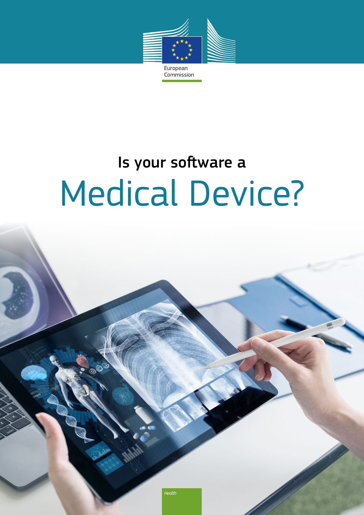

## Commission

## Medical Device? Is your software a